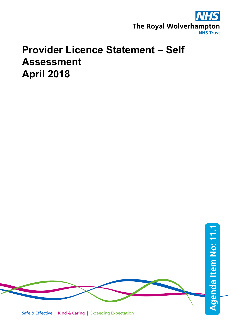

## **Provider Licence Statement – Self Assessment April 2018**



Safe & Effective | Kind & Caring | Exceeding Expectation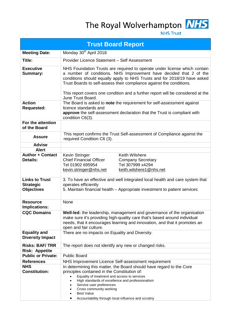The Royal Wolverhampton **NHS** 



| <b>Trust Board Report</b>                                      |                                                                                                                                                                                                                                                                                                                                                                                                             |  |  |  |  |
|----------------------------------------------------------------|-------------------------------------------------------------------------------------------------------------------------------------------------------------------------------------------------------------------------------------------------------------------------------------------------------------------------------------------------------------------------------------------------------------|--|--|--|--|
| <b>Meeting Date:</b>                                           | Monday 30 <sup>th</sup> April 2018                                                                                                                                                                                                                                                                                                                                                                          |  |  |  |  |
| Title:                                                         | Provider Licence Statement - Self Assessment                                                                                                                                                                                                                                                                                                                                                                |  |  |  |  |
| <b>Executive</b><br><b>Summary:</b>                            | NHS Foundation Trusts are required to operate under license which contain<br>a number of conditions. NHS Improvement have decided that 2 of the<br>conditions should equally apply to NHS Trusts and for 2018/19 have asked<br>Trust Boards to self-assess their compliance against the conditions.<br>This report covers one condition and a further report will be considered at the<br>June Trust Board. |  |  |  |  |
| <b>Action</b><br><b>Requested:</b>                             | The Board is asked to note the requirement for self-assessment against<br>licence standards and<br>approve the self-assessment declaration that the Trust is compliant with<br>condition C6(3).                                                                                                                                                                                                             |  |  |  |  |
| For the attention<br>of the Board                              |                                                                                                                                                                                                                                                                                                                                                                                                             |  |  |  |  |
| <b>Assure</b>                                                  | This report confirms the Trust Self-assessment of Compliance against the<br>required Condition C6 (3).                                                                                                                                                                                                                                                                                                      |  |  |  |  |
| <b>Advise</b>                                                  |                                                                                                                                                                                                                                                                                                                                                                                                             |  |  |  |  |
| <b>Alert</b>                                                   |                                                                                                                                                                                                                                                                                                                                                                                                             |  |  |  |  |
| <b>Author + Contact</b><br><b>Details:</b>                     | Kevin Stringer<br><b>Keith Wilshere</b><br><b>Chief Financial Officer</b><br><b>Company Secretary</b><br>Tel 307999 x4294<br>Tel 01902 695954<br>kevin.stringer@nhs.net<br>keith.wilshere1@nhs.net                                                                                                                                                                                                          |  |  |  |  |
| <b>Links to Trust</b><br><b>Strategic</b><br><b>Objectives</b> | 3. To have an effective and well integrated local health and care system that<br>operates efficiently<br>5. Maintain financial health - Appropriate investment to patient services                                                                                                                                                                                                                          |  |  |  |  |
| <b>Resource</b><br>Implications:                               | None                                                                                                                                                                                                                                                                                                                                                                                                        |  |  |  |  |
| <b>CQC Domains</b>                                             | <b>Well-led:</b> the leadership, management and governance of the organisation<br>make sure it's providing high-quality care that's based around individual<br>needs, that it encourages learning and innovation, and that it promotes an<br>open and fair culture.                                                                                                                                         |  |  |  |  |
| <b>Equality and</b><br><b>Diversity Impact</b>                 | There are no impacts on Equality and Diversity.                                                                                                                                                                                                                                                                                                                                                             |  |  |  |  |
| <b>Risks: BAF/TRR</b>                                          | The report does not identify any new or changed risks.                                                                                                                                                                                                                                                                                                                                                      |  |  |  |  |
| <b>Risk: Appetite</b>                                          |                                                                                                                                                                                                                                                                                                                                                                                                             |  |  |  |  |
| <b>Public or Private:</b>                                      | <b>Public Board</b>                                                                                                                                                                                                                                                                                                                                                                                         |  |  |  |  |
| <b>References</b><br><b>NHS</b>                                | NHS Improvement Licence Self-assessment requirement<br>In determining this matter, the Board should have regard to the Core                                                                                                                                                                                                                                                                                 |  |  |  |  |
| <b>Constitution:</b>                                           | principles contained in the Constitution of:<br>Equality of treatment and access to services<br>High standards of excellence and professionalism<br>Service user preferences<br>Cross community working<br><b>Best Value</b><br>Accountability through local influence and scrutiny                                                                                                                         |  |  |  |  |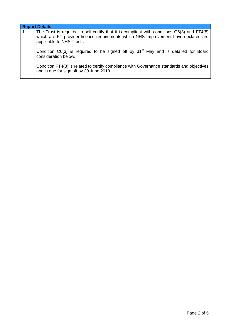| <b>Report Details</b>                                                                                                                                                                                          |  |  |  |  |
|----------------------------------------------------------------------------------------------------------------------------------------------------------------------------------------------------------------|--|--|--|--|
| The Trust is required to self-certify that it is compliant with conditions G6(3) and FT4(8)<br>which are FT provider licence requirements which NHS Improvement have declared are<br>applicable to NHS Trusts. |  |  |  |  |
| Condition C6(3) is required to be signed off by 31 <sup>st</sup> May and is detailed for Board<br>consideration below.                                                                                         |  |  |  |  |
| Condition FT4(8) is related to certify compliance with Governance standards and objectives<br>and is due for sign off by 30 June 2018.                                                                         |  |  |  |  |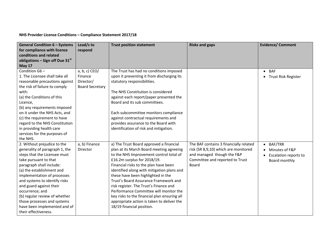**NHS Provider License Conditions – Compliance Statement 2017/18** 

| <b>General Condition 6 - Systems</b> | Lead/s to              | <b>Trust position statement</b>              | <b>Risks and gaps</b>                  | <b>Evidence/ Comment</b>     |
|--------------------------------------|------------------------|----------------------------------------------|----------------------------------------|------------------------------|
| for compliance with licence          | respond                |                                              |                                        |                              |
| conditions and related               |                        |                                              |                                        |                              |
| obligations – Sign off Due $31st$    |                        |                                              |                                        |                              |
| <b>May 17</b>                        |                        |                                              |                                        |                              |
| Condition G6-                        | $a, b, c)$ CEO/        | The Trust has had no conditions imposed      |                                        | $\bullet$ BAF                |
| 1. The Licensee shall take all       | Finance                | upon it preventing it from discharging its   |                                        | • Trust Risk Register        |
| reasonable precautions against       | Director/              | statutory responsibilities.                  |                                        |                              |
| the risk of failure to comply        | <b>Board Secretary</b> |                                              |                                        |                              |
| with:                                |                        | The NHS Constitution is considered           |                                        |                              |
| (a) the Conditions of this           |                        | against each report/paper presented the      |                                        |                              |
| Licence,                             |                        | Board and its sub committees.                |                                        |                              |
| (b) any requirements imposed         |                        |                                              |                                        |                              |
| on it under the NHS Acts, and        |                        | Each subcommittee monitors compliance        |                                        |                              |
| (c) the requirement to have          |                        | against contractual requirements and         |                                        |                              |
| regard to the NHS Constitution       |                        | provides assurance to the Board with         |                                        |                              |
| in providing health care             |                        | identification of risk and mitigation.       |                                        |                              |
| services for the purposes of         |                        |                                              |                                        |                              |
| the NHS.                             |                        |                                              |                                        |                              |
| 2. Without prejudice to the          | a, b) Finance          | a) The Trust Board approved a financial      | The BAF contains 3 financially related | <b>BAF/TRR</b><br>$\bullet$  |
| generality of paragraph 1, the       | Director               | plan at its March Board meeting agreeing     | risk (SR 8,9,10) which are monitored   | Minutes of F&P               |
| steps that the Licensee must         |                        | to the NHS Improvement control total of      | and managed though the F&P             | <b>Escalation reports to</b> |
| take pursuant to that                |                        | £16.2m surplus for 2018/19.                  | Committee and reported to Trust        | Board monthly                |
| paragraph shall include:             |                        | Financial risks to the plan have been        | Board                                  |                              |
| (a) the establishment and            |                        | identified along with mitigation plans and   |                                        |                              |
| implementation of processes          |                        | these have been highlighted in the           |                                        |                              |
| and systems to identify risks        |                        | Trust's Board Assurance Framework and        |                                        |                              |
| and guard against their              |                        | risk register. The Trust's Finance and       |                                        |                              |
| occurrence; and                      |                        | Performance Committee will monitor the       |                                        |                              |
| (b) regular review of whether        |                        | key risks to the financial plan ensuring all |                                        |                              |
| those processes and systems          |                        | appropriate action is taken to deliver the   |                                        |                              |
| have been implemented and of         |                        | 18/19 financial position.                    |                                        |                              |
| their effectiveness.                 |                        |                                              |                                        |                              |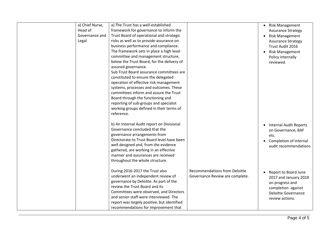| a) Chief Nurse,<br>Head of | a) The Trust has a well-established<br>framework for governance to inform the |                                      | <b>Risk Management</b><br>$\bullet$              |
|----------------------------|-------------------------------------------------------------------------------|--------------------------------------|--------------------------------------------------|
| Governance and             | Trust Board of operational and strategic                                      |                                      | <b>Assurance Strategy</b>                        |
|                            |                                                                               |                                      | <b>Risk Management</b><br>$\bullet$              |
| Legal                      | risks as well as to provide assurance on                                      |                                      | <b>Assurance Strategy</b>                        |
|                            | business performance and compliance.                                          |                                      | Trust Audit 2016                                 |
|                            | The framework sets in place a high level                                      |                                      | <b>Risk Management</b><br>$\bullet$              |
|                            | committee and management structure,                                           |                                      | Policy internally                                |
|                            | below the Trust Board, for the delivery of                                    |                                      | reviewed.                                        |
|                            | assured governance.                                                           |                                      |                                                  |
|                            | Sub Trust Board assurance committees are                                      |                                      |                                                  |
|                            | constituted to ensure the delegated                                           |                                      |                                                  |
|                            | operation of effective risk management                                        |                                      |                                                  |
|                            | systems, processes and outcomes. These                                        |                                      |                                                  |
|                            | committees inform and assure the Trust                                        |                                      |                                                  |
|                            | Board through the functioning and                                             |                                      |                                                  |
|                            | reporting of sub-groups and specialist                                        |                                      |                                                  |
|                            | working groups defined in their terms of                                      |                                      |                                                  |
|                            | reference.                                                                    |                                      |                                                  |
|                            |                                                                               |                                      |                                                  |
|                            | b) An Internal Audit report on Divisional<br>Governance concluded that the    |                                      | <b>Internal Audit Reports</b>                    |
|                            |                                                                               |                                      | on Governance, BAF                               |
|                            | governance arrangements from                                                  |                                      | etc.                                             |
|                            | Directorate to Trust Board level have been                                    |                                      | Completion of internal<br>$\bullet$              |
|                            | well designed and, from the evidence                                          |                                      | audit recommendations                            |
|                            | gathered, are working in an effective                                         |                                      |                                                  |
|                            | manner and assurances are received                                            |                                      |                                                  |
|                            | throughout the whole structure.                                               |                                      |                                                  |
|                            | During 2016-2017 the Trust also                                               | <b>Recommendations from Deloitte</b> | Report to Board June<br>$\bullet$                |
|                            | underwent an independent review of                                            | Governance Review are complete.      | 2017 and January 2018                            |
|                            | governance by Deloitte. As part of the                                        |                                      |                                                  |
|                            | review the Trust Board and its                                                |                                      | on progress and                                  |
|                            | Committees were observed, and Directors                                       |                                      | completion against<br><b>Deloitte Governance</b> |
|                            | and senior staff were interviewed. The                                        |                                      | review actions.                                  |
|                            | report was largely positive, but identified                                   |                                      |                                                  |
|                            | recommendations for improvement that                                          |                                      |                                                  |